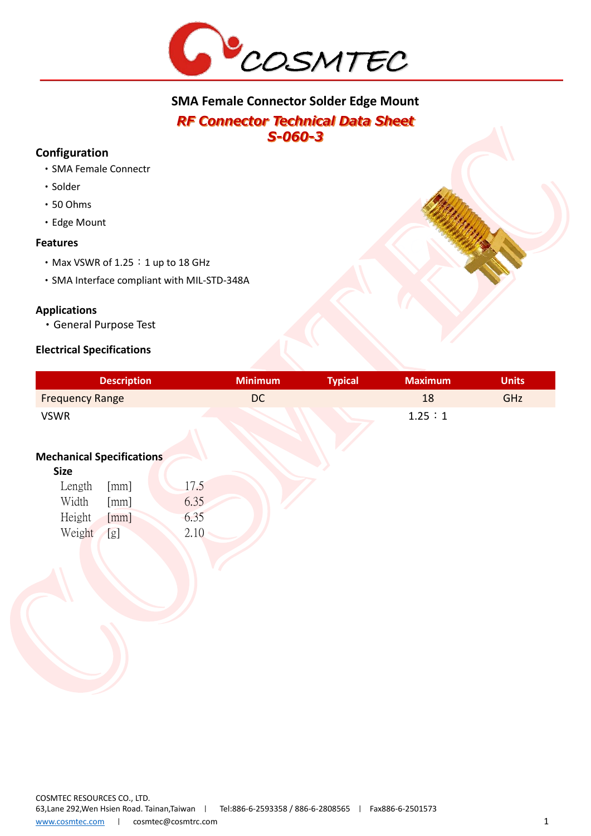

# **SMA Female Connector Solder Edge Mount**

*RF Connector Technical Data Sheet*

*S-060-3*

# **Configuration**

- •SMA Female Connectr
- Solder
- •50 Ohms
- •Edge Mount

#### **Features**

- Max VSWR of 1.25: 1 up to 18 GHz
- •SMA Interface compliant with MIL-STD-348A

### **Applications**

•General Purpose Test

## **Electrical Specifications**

| <b>Description</b>                                                 | <b>Minimum</b>               | <b>Typical</b> | <b>Maximum</b> | <b>Units</b> |
|--------------------------------------------------------------------|------------------------------|----------------|----------------|--------------|
| <b>Frequency Range</b>                                             | <b>DC</b>                    |                | 18             | GHZ          |
| <b>VSWR</b>                                                        |                              |                | 1.25:1         |              |
| <b>Mechanical Specifications</b><br><b>Size</b>                    |                              |                |                |              |
| Length<br>[mm]<br>Width<br>[mm]<br>Height<br>[mm]<br>Weight<br>[g] | 17.5<br>6.35<br>6.35<br>2.10 |                |                |              |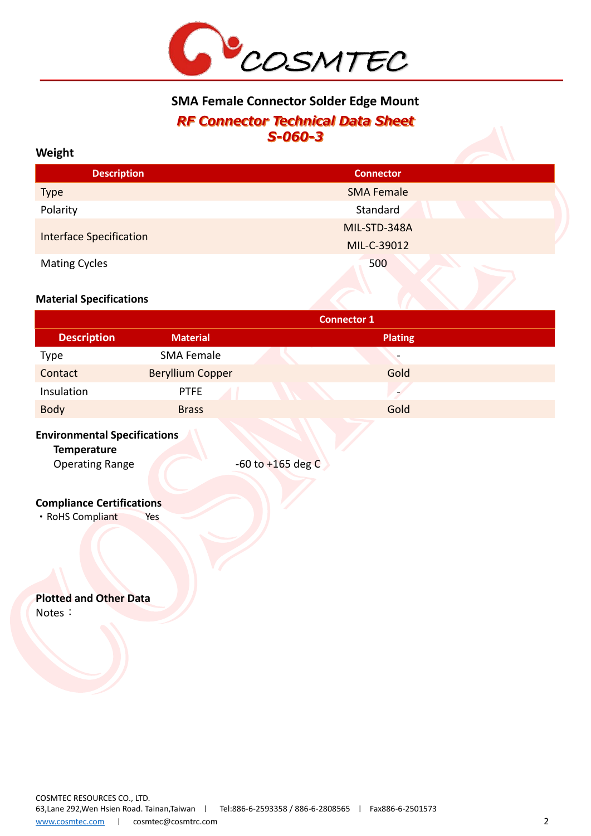

# **SMA Female Connector Solder Edge Mount** *RF Connector Technical Data Sheet S-060-3*

#### **Weight**

| <b>Description</b>             | <b>Connector</b>  |  |
|--------------------------------|-------------------|--|
| <b>Type</b>                    | <b>SMA Female</b> |  |
| Polarity                       | Standard          |  |
|                                | MIL-STD-348A      |  |
| <b>Interface Specification</b> | MIL-C-39012       |  |
| <b>Mating Cycles</b>           | 500               |  |

#### **Material Specifications**

|                    | <b>Connector 1</b>      |                |  |
|--------------------|-------------------------|----------------|--|
| <b>Description</b> | <b>Material</b>         | <b>Plating</b> |  |
| Type               | <b>SMA Female</b>       |                |  |
| Contact            | <b>Beryllium Copper</b> | Gold           |  |
| Insulation         | <b>PTFE</b>             |                |  |
| <b>Body</b>        | <b>Brass</b>            | Gold           |  |

#### **Environmental Specifications**

**Temperature**

Operating Range -60 to +165 deg C

#### **Compliance Certifications**

• RoHS Compliant Yes

#### **Plotted and Other Data** Notes: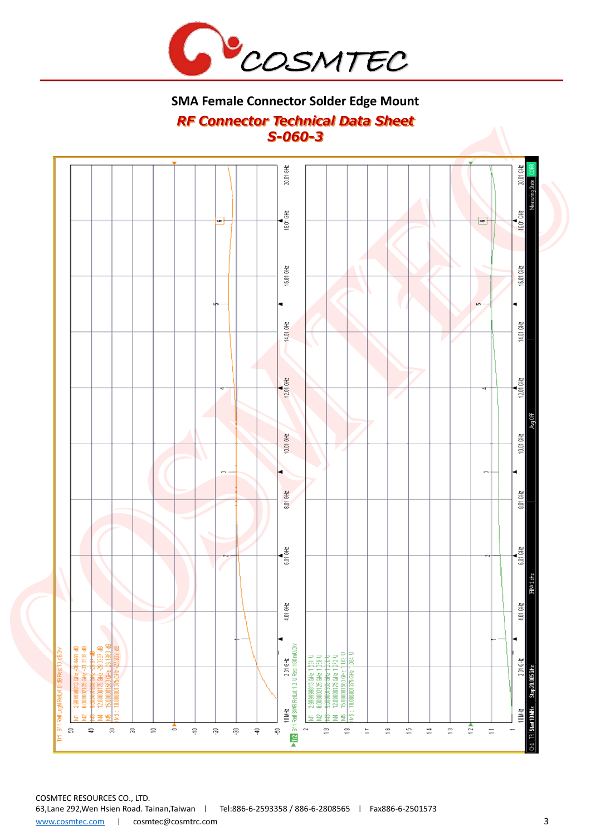

**SMA Female Connector Solder Edge Mount** *RF Connector Technical Data Sheet S-060-3*



COSMTEC RESOURCES CO., LTD. 63,Lane 292,Wen Hsien Road. Tainan,Taiwan | <Tel:886-6-2593358> / 886-6-2808565 | Fax886-6-2501573 [www.cosmtec.com](http://www.cosmtec.com/) | [cosmtec@cosmtrc.com](mailto:cosmtec@cosmtrc.com) 3